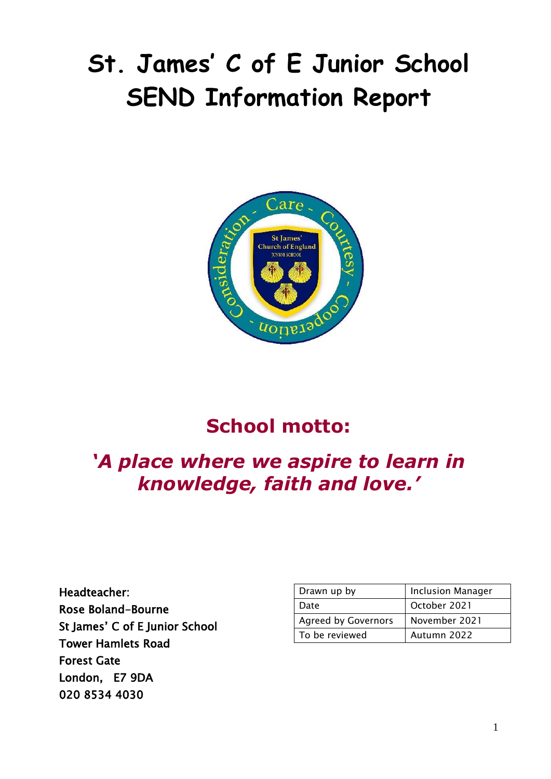# **St. James' C of E Junior School SEND Information Report**



# **School motto:**

# *'A place where we aspire to learn in knowledge, faith and love.'*

Headteacher: Rose Boland-Bourne St James' C of E Junior School Tower Hamlets Road Forest Gate London, E7 9DA 020 8534 4030

| Drawn up by                | <b>Inclusion Manager</b> |
|----------------------------|--------------------------|
| Date                       | October 2021             |
| <b>Agreed by Governors</b> | November 2021            |
| To be reviewed             | Autumn 2022              |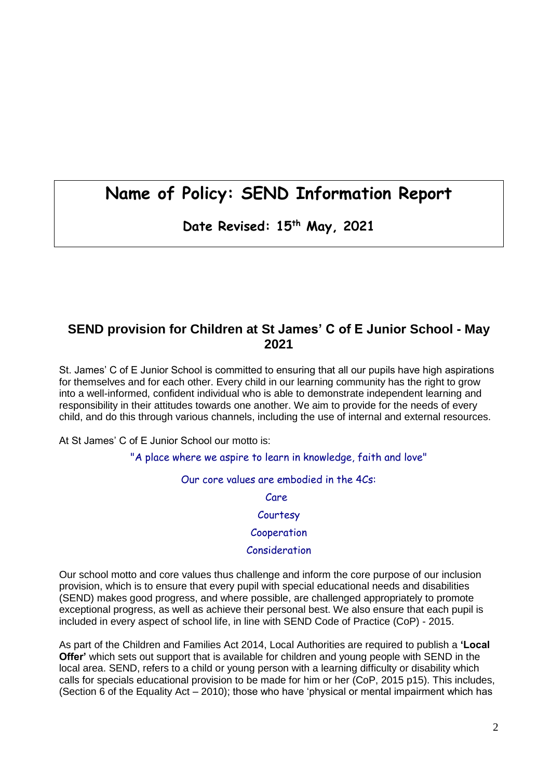# **Name of Policy: SEND Information Report**

**Date Revised: 15th May, 2021**

### **SEND provision for Children at St James' C of E Junior School - May 2021**

St. James' C of E Junior School is committed to ensuring that all our pupils have high aspirations for themselves and for each other. Every child in our learning community has the right to grow into a well-informed, confident individual who is able to demonstrate independent learning and responsibility in their attitudes towards one another. We aim to provide for the needs of every child, and do this through various channels, including the use of internal and external resources.

At St James' C of E Junior School our motto is:

"A place where we aspire to learn in knowledge, faith and love"

#### Our core values are embodied in the 4Cs:

Care

**Courtesy** 

#### Cooperation

#### Consideration

Our school motto and core values thus challenge and inform the core purpose of our inclusion provision, which is to ensure that every pupil with special educational needs and disabilities (SEND) makes good progress, and where possible, are challenged appropriately to promote exceptional progress, as well as achieve their personal best. We also ensure that each pupil is included in every aspect of school life, in line with SEND Code of Practice (CoP) - 2015.

As part of the Children and Families Act 2014, Local Authorities are required to publish a **'Local Offer'** which sets out support that is available for children and young people with SEND in the local area. SEND, refers to a child or young person with a learning difficulty or disability which calls for specials educational provision to be made for him or her (CoP, 2015 p15). This includes, (Section 6 of the Equality Act – 2010); those who have 'physical or mental impairment which has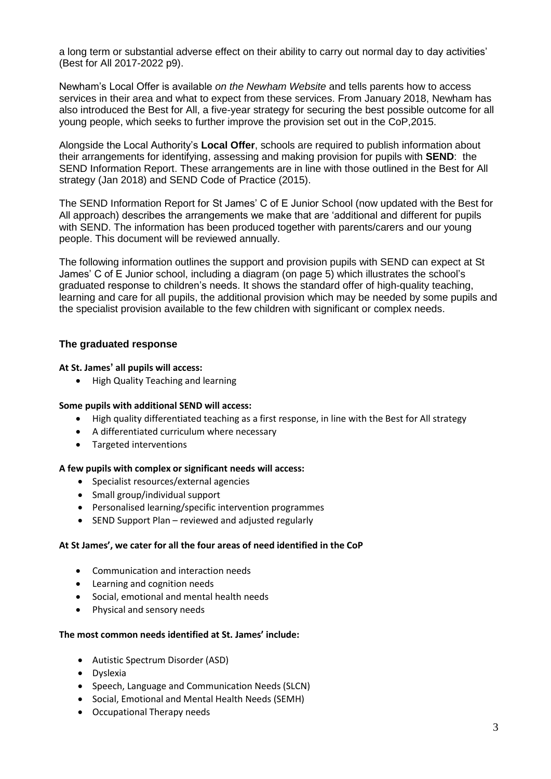a long term or substantial adverse effect on their ability to carry out normal day to day activities' (Best for All 2017-2022 p9).

Newham's Local Offer is available *on the Newham Website* and tells parents how to access services in their area and what to expect from these services. From January 2018, Newham has also introduced the Best for All, a five-year strategy for securing the best possible outcome for all young people, which seeks to further improve the provision set out in the CoP,2015.

Alongside the Local Authority's **Local Offer**, schools are required to publish information about their arrangements for identifying, assessing and making provision for pupils with **SEND**: the SEND Information Report. These arrangements are in line with those outlined in the Best for All strategy (Jan 2018) and SEND Code of Practice (2015).

The SEND Information Report for St James' C of E Junior School (now updated with the Best for All approach) describes the arrangements we make that are 'additional and different for pupils with SEND. The information has been produced together with parents/carers and our young people. This document will be reviewed annually.

The following information outlines the support and provision pupils with SEND can expect at St James' C of E Junior school, including a diagram (on page 5) which illustrates the school's graduated response to children's needs. It shows the standard offer of high-quality teaching, learning and care for all pupils, the additional provision which may be needed by some pupils and the specialist provision available to the few children with significant or complex needs.

#### **The graduated response**

#### **At St. James' all pupils will access:**

• High Quality Teaching and learning

#### **Some pupils with additional SEND will access:**

- High quality differentiated teaching as a first response, in line with the Best for All strategy
- A differentiated curriculum where necessary
- Targeted interventions

#### **A few pupils with complex or significant needs will access:**

- Specialist resources/external agencies
- Small group/individual support
- Personalised learning/specific intervention programmes
- SEND Support Plan reviewed and adjusted regularly

#### **At St James', we cater for all the four areas of need identified in the CoP**

- Communication and interaction needs
- Learning and cognition needs
- Social, emotional and mental health needs
- Physical and sensory needs

#### **The most common needs identified at St. James' include:**

- Autistic Spectrum Disorder (ASD)
- Dyslexia
- Speech, Language and Communication Needs (SLCN)
- Social, Emotional and Mental Health Needs (SEMH)
- Occupational Therapy needs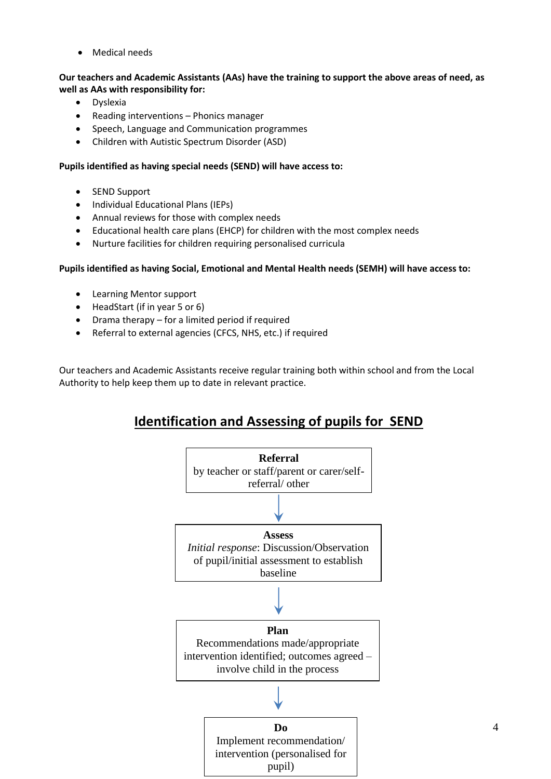• Medical needs

**Our teachers and Academic Assistants (AAs) have the training to support the above areas of need, as well as AAs with responsibility for:**

- Dyslexia
- Reading interventions Phonics manager
- Speech, Language and Communication programmes
- Children with Autistic Spectrum Disorder (ASD)

#### **Pupils identified as having special needs (SEND) will have access to:**

- SEND Support
- Individual Educational Plans (IEPs)
- Annual reviews for those with complex needs
- Educational health care plans (EHCP) for children with the most complex needs
- Nurture facilities for children requiring personalised curricula

#### **Pupils identified as having Social, Emotional and Mental Health needs (SEMH) will have access to:**

- Learning Mentor support
- HeadStart (if in year 5 or 6)
- Drama therapy for a limited period if required
- Referral to external agencies (CFCS, NHS, etc.) if required

Our teachers and Academic Assistants receive regular training both within school and from the Local Authority to help keep them up to date in relevant practice.

## **Identification and Assessing of pupils for SEND**

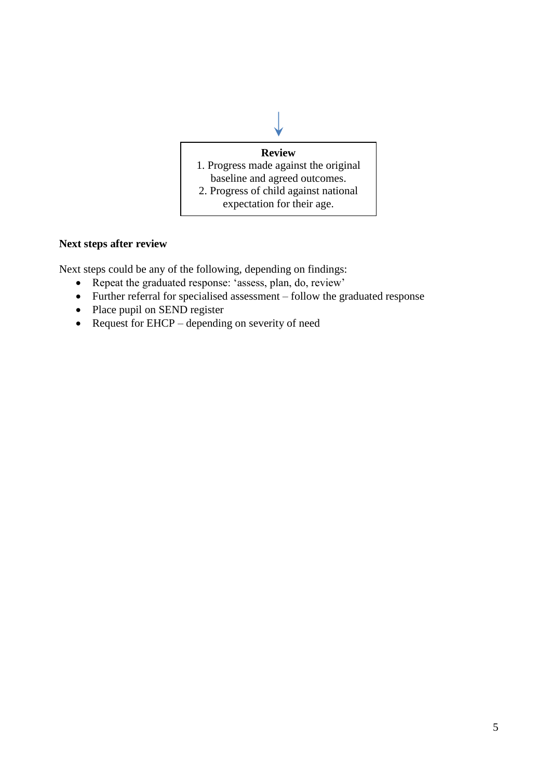

#### **Next steps after review**

Next steps could be any of the following, depending on findings:

- Repeat the graduated response: 'assess, plan, do, review'
- Further referral for specialised assessment follow the graduated response
- Place pupil on SEND register
- Request for EHCP depending on severity of need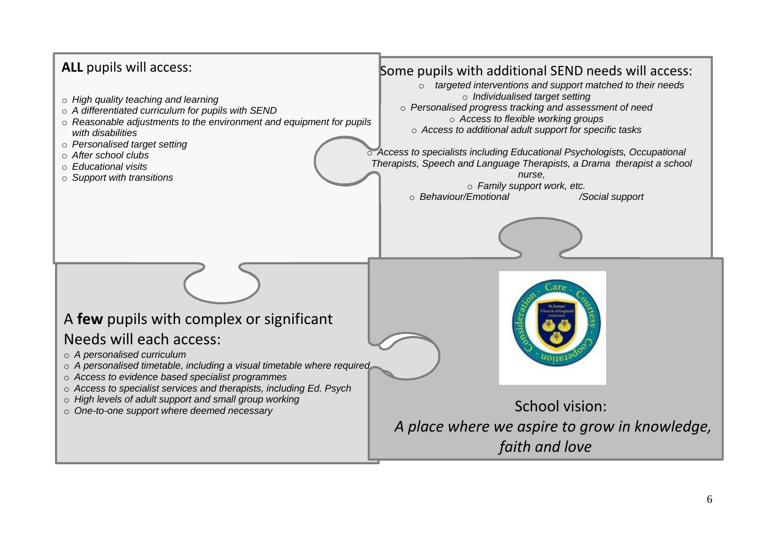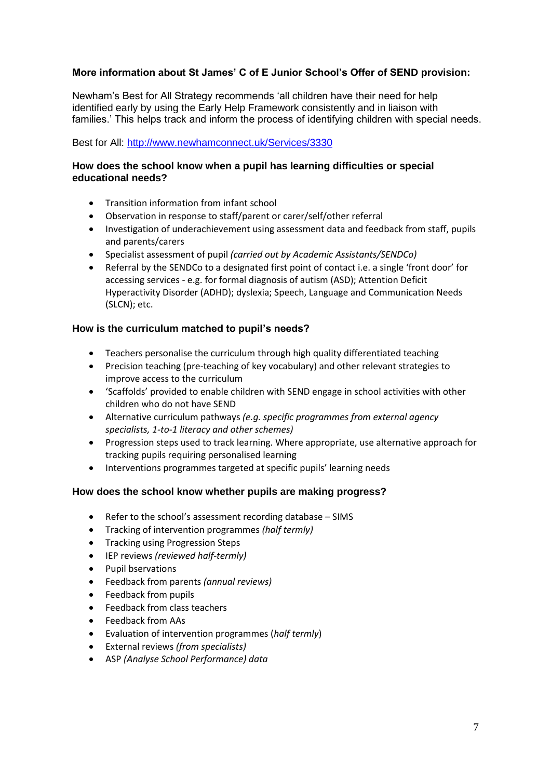#### **More information about St James' C of E Junior School's Offer of SEND provision:**

Newham's Best for All Strategy recommends 'all children have their need for help identified early by using the Early Help Framework consistently and in liaison with families.' This helps track and inform the process of identifying children with special needs.

#### Best for All:<http://www.newhamconnect.uk/Services/3330>

#### **How does the school know when a pupil has learning difficulties or special educational needs?**

- Transition information from infant school
- Observation in response to staff/parent or carer/self/other referral
- Investigation of underachievement using assessment data and feedback from staff, pupils and parents/carers
- Specialist assessment of pupil *(carried out by Academic Assistants/SENDCo)*
- Referral by the SENDCo to a designated first point of contact i.e. a single 'front door' for accessing services - e.g. for formal diagnosis of autism (ASD); Attention Deficit Hyperactivity Disorder (ADHD); dyslexia; Speech, Language and Communication Needs (SLCN); etc.

#### **How is the curriculum matched to pupil's needs?**

- Teachers personalise the curriculum through high quality differentiated teaching
- Precision teaching (pre-teaching of key vocabulary) and other relevant strategies to improve access to the curriculum
- 'Scaffolds' provided to enable children with SEND engage in school activities with other children who do not have SEND
- Alternative curriculum pathways *(e.g. specific programmes from external agency specialists, 1-to-1 literacy and other schemes)*
- Progression steps used to track learning. Where appropriate, use alternative approach for tracking pupils requiring personalised learning
- Interventions programmes targeted at specific pupils' learning needs

#### **How does the school know whether pupils are making progress?**

- Refer to the school's assessment recording database SIMS
- Tracking of intervention programmes *(half termly)*
- Tracking using Progression Steps
- IEP reviews *(reviewed half-termly)*
- Pupil bservations
- Feedback from parents *(annual reviews)*
- Feedback from pupils
- Feedback from class teachers
- Feedback from AAs
- Evaluation of intervention programmes (*half termly*)
- External reviews *(from specialists)*
- ASP *(Analyse School Performance) data*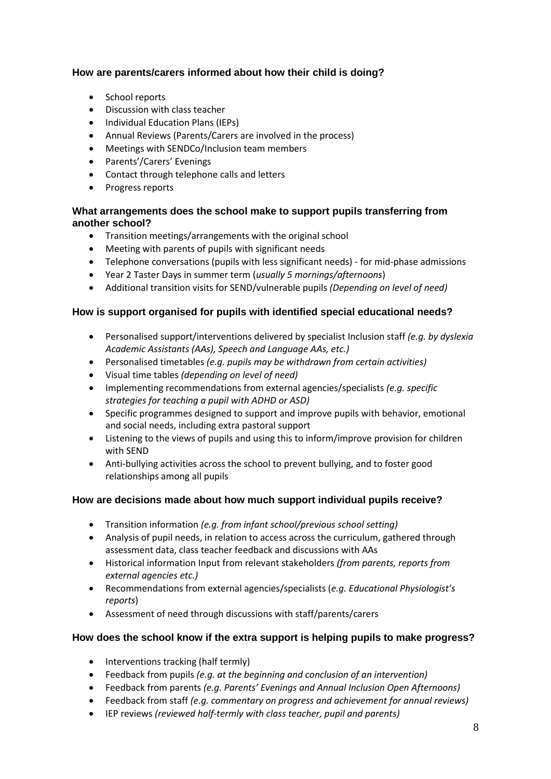#### **How are parents/carers informed about how their child is doing?**

- School reports
- Discussion with class teacher
- Individual Education Plans (IEPs)
- Annual Reviews (Parents/Carers are involved in the process)
- Meetings with SENDCo/Inclusion team members
- Parents'/Carers' Evenings
- Contact through telephone calls and letters
- Progress reports

#### **What arrangements does the school make to support pupils transferring from another school?**

- Transition meetings/arrangements with the original school
- Meeting with parents of pupils with significant needs
- Telephone conversations (pupils with less significant needs) for mid-phase admissions
- Year 2 Taster Days in summer term (*usually 5 mornings/afternoons*)
- Additional transition visits for SEND/vulnerable pupils *(Depending on level of need)*

#### **How is support organised for pupils with identified special educational needs?**

- Personalised support/interventions delivered by specialist Inclusion staff *(e.g. by dyslexia Academic Assistants (AAs), Speech and Language AAs, etc.)*
- Personalised timetables *(e.g. pupils may be withdrawn from certain activities)*
- Visual time tables *(depending on level of need)*
- Implementing recommendations from external agencies/specialists *(e.g. specific strategies for teaching a pupil with ADHD or ASD)*
- Specific programmes designed to support and improve pupils with behavior, emotional and social needs, including extra pastoral support
- Listening to the views of pupils and using this to inform/improve provision for children with SEND
- Anti-bullying activities across the school to prevent bullying, and to foster good relationships among all pupils

#### **How are decisions made about how much support individual pupils receive?**

- Transition information *(e.g. from infant school/previous school setting)*
- Analysis of pupil needs, in relation to access across the curriculum, gathered through assessment data, class teacher feedback and discussions with AAs
- Historical information Input from relevant stakeholders *(from parents, reports from external agencies etc.)*
- Recommendations from external agencies/specialists (*e.g. Educational Physiologist's reports*)
- Assessment of need through discussions with staff/parents/carers

#### **How does the school know if the extra support is helping pupils to make progress?**

- Interventions tracking (half termly)
- Feedback from pupils *(e.g. at the beginning and conclusion of an intervention)*
- Feedback from parents *(e.g. Parents' Evenings and Annual Inclusion Open Afternoons)*
- Feedback from staff *(e.g. commentary on progress and achievement for annual reviews)*
- IEP reviews *(reviewed half-termly with class teacher, pupil and parents)*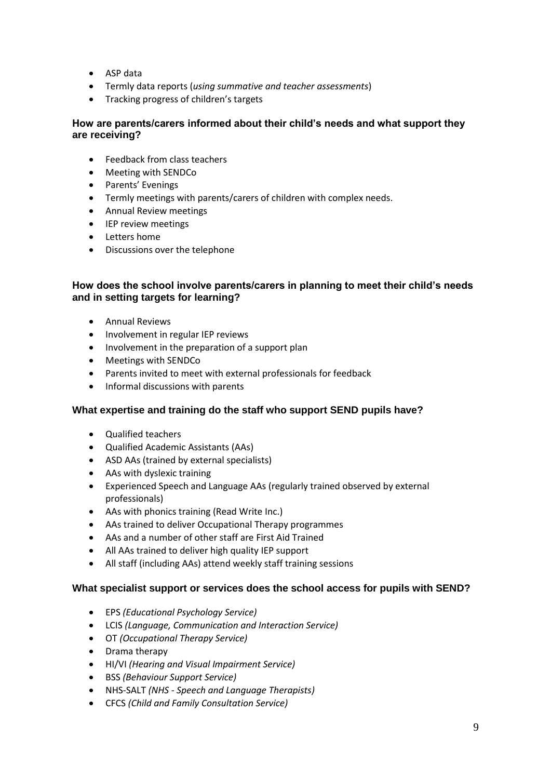- ASP data
- Termly data reports (*using summative and teacher assessments*)
- Tracking progress of children's targets

#### **How are parents/carers informed about their child's needs and what support they are receiving?**

- Feedback from class teachers
- Meeting with SENDCo
- Parents' Evenings
- Termly meetings with parents/carers of children with complex needs.
- Annual Review meetings
- IEP review meetings
- Letters home
- Discussions over the telephone

#### **How does the school involve parents/carers in planning to meet their child's needs and in setting targets for learning?**

- Annual Reviews
- Involvement in regular IEP reviews
- Involvement in the preparation of a support plan
- Meetings with SENDCo
- Parents invited to meet with external professionals for feedback
- Informal discussions with parents

#### **What expertise and training do the staff who support SEND pupils have?**

- Qualified teachers
- Qualified Academic Assistants (AAs)
- ASD AAs (trained by external specialists)
- AAs with dyslexic training
- Experienced Speech and Language AAs (regularly trained observed by external professionals)
- AAs with phonics training (Read Write Inc.)
- AAs trained to deliver Occupational Therapy programmes
- AAs and a number of other staff are First Aid Trained
- All AAs trained to deliver high quality IEP support
- All staff (including AAs) attend weekly staff training sessions

#### **What specialist support or services does the school access for pupils with SEND?**

- EPS *(Educational Psychology Service)*
- LCIS *(Language, Communication and Interaction Service)*
- OT *(Occupational Therapy Service)*
- Drama therapy
- HI/VI *(Hearing and Visual Impairment Service)*
- BSS *(Behaviour Support Service)*
- NHS-SALT *(NHS - Speech and Language Therapists)*
- CFCS *(Child and Family Consultation Service)*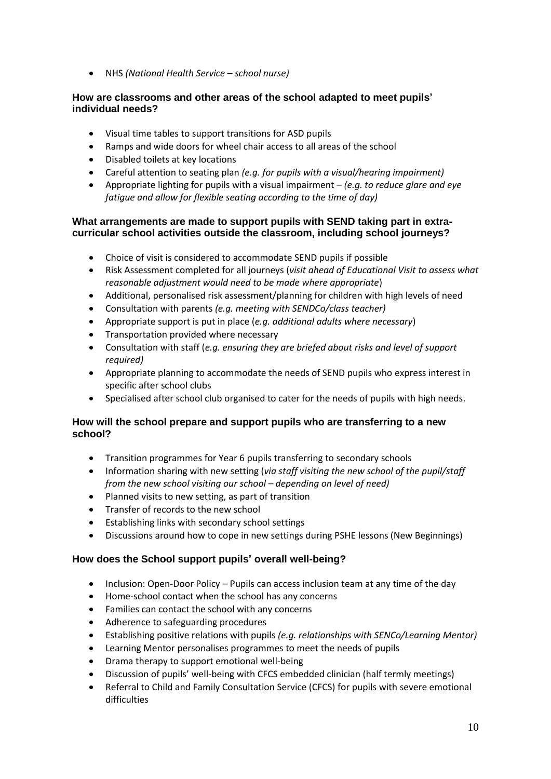• NHS *(National Health Service – school nurse)*

#### **How are classrooms and other areas of the school adapted to meet pupils' individual needs?**

- Visual time tables to support transitions for ASD pupils
- Ramps and wide doors for wheel chair access to all areas of the school
- Disabled toilets at key locations
- Careful attention to seating plan *(e.g. for pupils with a visual/hearing impairment)*
- Appropriate lighting for pupils with a visual impairment *(e.g. to reduce glare and eye fatigue and allow for flexible seating according to the time of day)*

#### **What arrangements are made to support pupils with SEND taking part in extracurricular school activities outside the classroom, including school journeys?**

- Choice of visit is considered to accommodate SEND pupils if possible
- Risk Assessment completed for all journeys (*visit ahead of Educational Visit to assess what reasonable adjustment would need to be made where appropriate*)
- Additional, personalised risk assessment/planning for children with high levels of need
- Consultation with parents *(e.g. meeting with SENDCo/class teacher)*
- Appropriate support is put in place (*e.g. additional adults where necessary*)
- Transportation provided where necessary
- Consultation with staff (*e.g. ensuring they are briefed about risks and level of support required)*
- Appropriate planning to accommodate the needs of SEND pupils who express interest in specific after school clubs
- Specialised after school club organised to cater for the needs of pupils with high needs.

#### **How will the school prepare and support pupils who are transferring to a new school?**

- Transition programmes for Year 6 pupils transferring to secondary schools
- Information sharing with new setting (*via staff visiting the new school of the pupil/staff from the new school visiting our school – depending on level of need)*
- Planned visits to new setting, as part of transition
- Transfer of records to the new school
- Establishing links with secondary school settings
- Discussions around how to cope in new settings during PSHE lessons (New Beginnings)

#### **How does the School support pupils' overall well-being?**

- Inclusion: Open-Door Policy Pupils can access inclusion team at any time of the day
- Home-school contact when the school has any concerns
- Families can contact the school with any concerns
- Adherence to safeguarding procedures
- Establishing positive relations with pupils *(e.g. relationships with SENCo/Learning Mentor)*
- Learning Mentor personalises programmes to meet the needs of pupils
- Drama therapy to support emotional well-being
- Discussion of pupils' well-being with CFCS embedded clinician (half termly meetings)
- Referral to Child and Family Consultation Service (CFCS) for pupils with severe emotional difficulties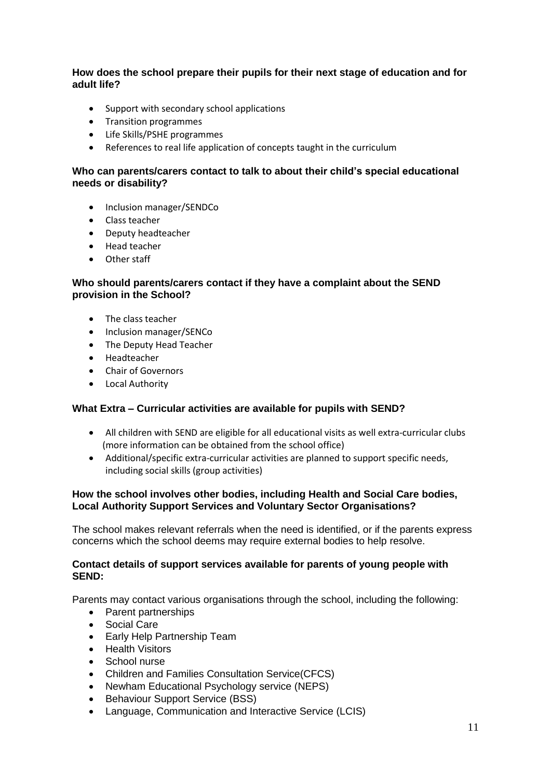#### **How does the school prepare their pupils for their next stage of education and for adult life?**

- Support with secondary school applications
- Transition programmes
- Life Skills/PSHE programmes
- References to real life application of concepts taught in the curriculum

#### **Who can parents/carers contact to talk to about their child's special educational needs or disability?**

- Inclusion manager/SENDCo
- Class teacher
- Deputy headteacher
- Head teacher
- Other staff

#### **Who should parents/carers contact if they have a complaint about the SEND provision in the School?**

- The class teacher
- Inclusion manager/SENCo
- The Deputy Head Teacher
- Headteacher
- Chair of Governors
- Local Authority

#### **What Extra – Curricular activities are available for pupils with SEND?**

- All children with SEND are eligible for all educational visits as well extra-curricular clubs (more information can be obtained from the school office)
- Additional/specific extra-curricular activities are planned to support specific needs, including social skills (group activities)

#### **How the school involves other bodies, including Health and Social Care bodies, Local Authority Support Services and Voluntary Sector Organisations?**

The school makes relevant referrals when the need is identified, or if the parents express concerns which the school deems may require external bodies to help resolve.

#### **Contact details of support services available for parents of young people with SEND:**

Parents may contact various organisations through the school, including the following:

- Parent partnerships
- Social Care
- Early Help Partnership Team
- Health Visitors
- School nurse
- Children and Families Consultation Service(CFCS)
- Newham Educational Psychology service (NEPS)
- Behaviour Support Service (BSS)
- Language, Communication and Interactive Service (LCIS)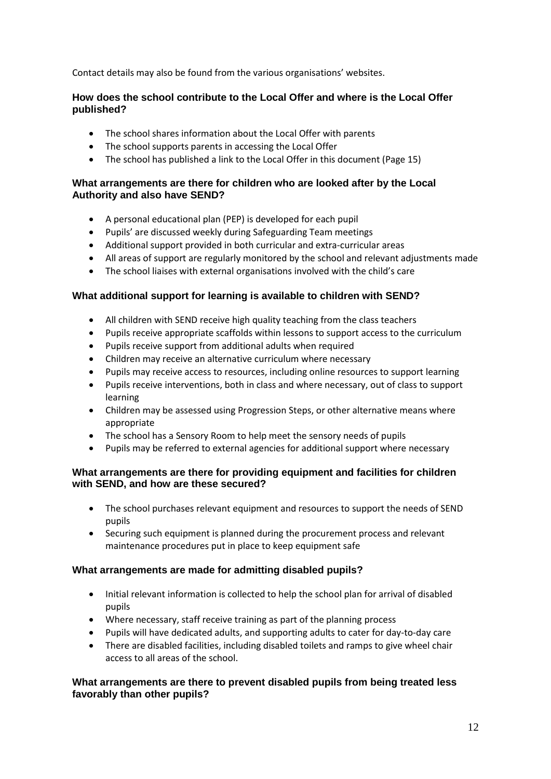Contact details may also be found from the various organisations' websites.

#### **How does the school contribute to the Local Offer and where is the Local Offer published?**

- The school shares information about the Local Offer with parents
- The school supports parents in accessing the Local Offer
- The school has published a link to the Local Offer in this document (Page 15)

#### **What arrangements are there for children who are looked after by the Local Authority and also have SEND?**

- A personal educational plan (PEP) is developed for each pupil
- Pupils' are discussed weekly during Safeguarding Team meetings
- Additional support provided in both curricular and extra-curricular areas
- All areas of support are regularly monitored by the school and relevant adjustments made
- The school liaises with external organisations involved with the child's care

#### **What additional support for learning is available to children with SEND?**

- All children with SEND receive high quality teaching from the class teachers
- Pupils receive appropriate scaffolds within lessons to support access to the curriculum
- Pupils receive support from additional adults when required
- Children may receive an alternative curriculum where necessary
- Pupils may receive access to resources, including online resources to support learning
- Pupils receive interventions, both in class and where necessary, out of class to support learning
- Children may be assessed using Progression Steps, or other alternative means where appropriate
- The school has a Sensory Room to help meet the sensory needs of pupils
- Pupils may be referred to external agencies for additional support where necessary

#### **What arrangements are there for providing equipment and facilities for children with SEND, and how are these secured?**

- The school purchases relevant equipment and resources to support the needs of SEND pupils
- Securing such equipment is planned during the procurement process and relevant maintenance procedures put in place to keep equipment safe

#### **What arrangements are made for admitting disabled pupils?**

- Initial relevant information is collected to help the school plan for arrival of disabled pupils
- Where necessary, staff receive training as part of the planning process
- Pupils will have dedicated adults, and supporting adults to cater for day-to-day care
- There are disabled facilities, including disabled toilets and ramps to give wheel chair access to all areas of the school.

#### **What arrangements are there to prevent disabled pupils from being treated less favorably than other pupils?**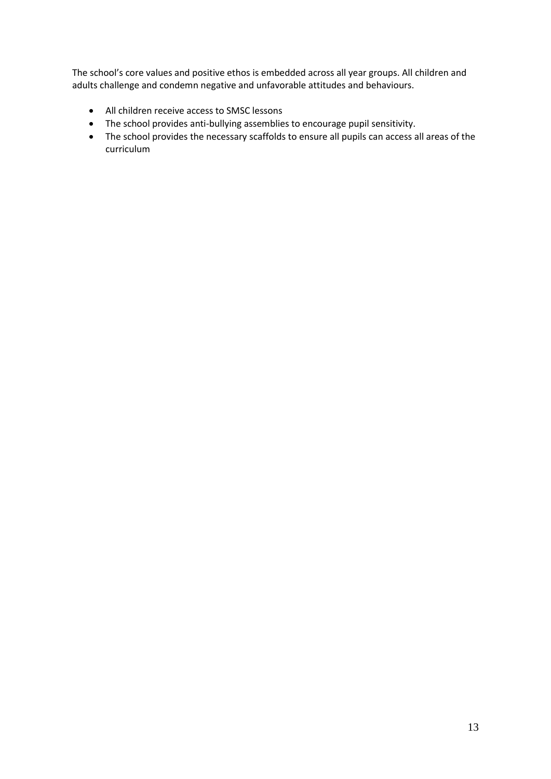The school's core values and positive ethos is embedded across all year groups. All children and adults challenge and condemn negative and unfavorable attitudes and behaviours.

- All children receive access to SMSC lessons
- The school provides anti-bullying assemblies to encourage pupil sensitivity.
- The school provides the necessary scaffolds to ensure all pupils can access all areas of the curriculum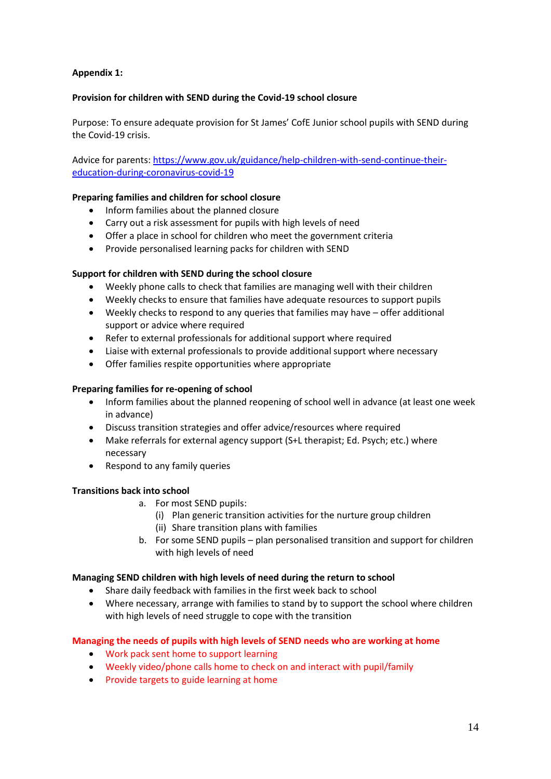#### **Appendix 1:**

#### **Provision for children with SEND during the Covid-19 school closure**

Purpose: To ensure adequate provision for St James' CofE Junior school pupils with SEND during the Covid-19 crisis.

Advice for parents: [https://www.gov.uk/guidance/help-children-with-send-continue-their](https://www.gov.uk/guidance/help-children-with-send-continue-their-education-during-coronavirus-covid-19)[education-during-coronavirus-covid-19](https://www.gov.uk/guidance/help-children-with-send-continue-their-education-during-coronavirus-covid-19)

#### **Preparing families and children for school closure**

- Inform families about the planned closure
- Carry out a risk assessment for pupils with high levels of need
- Offer a place in school for children who meet the government criteria
- Provide personalised learning packs for children with SEND

#### **Support for children with SEND during the school closure**

- Weekly phone calls to check that families are managing well with their children
- Weekly checks to ensure that families have adequate resources to support pupils
- Weekly checks to respond to any queries that families may have offer additional support or advice where required
- Refer to external professionals for additional support where required
- Liaise with external professionals to provide additional support where necessary
- Offer families respite opportunities where appropriate

#### **Preparing families for re-opening of school**

- Inform families about the planned reopening of school well in advance (at least one week in advance)
- Discuss transition strategies and offer advice/resources where required
- Make referrals for external agency support (S+L therapist; Ed. Psych; etc.) where necessary
- Respond to any family queries

#### **Transitions back into school**

- a. For most SEND pupils:
	- (i) Plan generic transition activities for the nurture group children
	- (ii) Share transition plans with families
- b. For some SEND pupils plan personalised transition and support for children with high levels of need

#### **Managing SEND children with high levels of need during the return to school**

- Share daily feedback with families in the first week back to school
- Where necessary, arrange with families to stand by to support the school where children with high levels of need struggle to cope with the transition

#### **Managing the needs of pupils with high levels of SEND needs who are working at home**

- Work pack sent home to support learning
- Weekly video/phone calls home to check on and interact with pupil/family
- Provide targets to guide learning at home